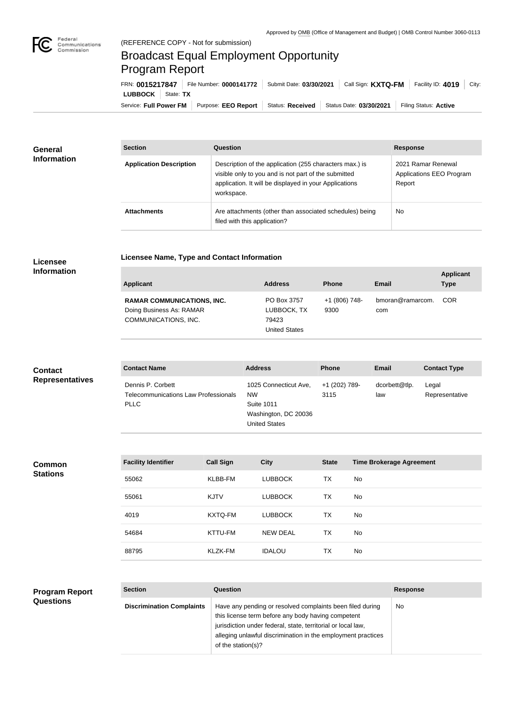

**COL** 

# Broadcast Equal Employment Opportunity Program Report

**Licensee Name, Type and Contact Information**

Service: Full Power FM Purpose: EEO Report | Status: Received | Status Date: 03/30/2021 | Filing Status: Active **LUBBOCK** | State: TX FRN: **0015217847** File Number: **0000141772** Submit Date: **03/30/2021** Call Sign: **KXTQ-FM** Facility ID: **4019** City:

| General<br><b>Information</b> | <b>Section</b>                 | Question                                                                                                                                                                                | <b>Response</b>                                          |  |
|-------------------------------|--------------------------------|-----------------------------------------------------------------------------------------------------------------------------------------------------------------------------------------|----------------------------------------------------------|--|
|                               | <b>Application Description</b> | Description of the application (255 characters max.) is<br>visible only to you and is not part of the submitted<br>application. It will be displayed in your Applications<br>workspace. | 2021 Ramar Renewal<br>Applications EEO Program<br>Report |  |
|                               | <b>Attachments</b>             | Are attachments (other than associated schedules) being<br>filed with this application?                                                                                                 | <b>No</b>                                                |  |

## **Licensee Information**

| Applicant                                                                             | <b>Address</b>                                              | <b>Phone</b>          | <b>Email</b>            | <b>Applicant</b><br>Type |
|---------------------------------------------------------------------------------------|-------------------------------------------------------------|-----------------------|-------------------------|--------------------------|
| <b>RAMAR COMMUNICATIONS, INC.</b><br>Doing Business As: RAMAR<br>COMMUNICATIONS, INC. | PO Box 3757<br>LUBBOCK, TX<br>79423<br><b>United States</b> | +1 (806) 748-<br>9300 | bmoran@ramarcom.<br>com | COR                      |

## **Contact Representatives**

| <b>Contact Name</b>                                                      | <b>Address</b>                                                                                          | <b>Phone</b>          | Email                | <b>Contact Type</b>     |
|--------------------------------------------------------------------------|---------------------------------------------------------------------------------------------------------|-----------------------|----------------------|-------------------------|
| Dennis P. Corbett<br>Telecommunications Law Professionals<br><b>PLLC</b> | 1025 Connecticut Ave,<br><b>NW</b><br><b>Suite 1011</b><br>Washington, DC 20036<br><b>United States</b> | +1 (202) 789-<br>3115 | dcorbett@tlp.<br>law | Legal<br>Representative |

## **Common Stations**

| <b>Facility Identifier</b> | <b>Call Sign</b> | <b>City</b>     | <b>State</b> | <b>Time Brokerage Agreement</b> |
|----------------------------|------------------|-----------------|--------------|---------------------------------|
| 55062                      | KLBB-FM          | <b>LUBBOCK</b>  | ТX           | No.                             |
| 55061                      | <b>KJTV</b>      | <b>LUBBOCK</b>  | <b>TX</b>    | No.                             |
| 4019                       | KXTQ-FM          | <b>LUBBOCK</b>  | TX           | No                              |
| 54684                      | KTTU-FM          | <b>NEW DEAL</b> | <b>TX</b>    | No.                             |
| 88795                      | <b>KLZK-FM</b>   | <b>IDALOU</b>   | <b>TX</b>    | No.                             |

#### **Program Report Questions**

| <b>Section</b>                   | Question                                                                                                                                                                                                                                                              | <b>Response</b> |
|----------------------------------|-----------------------------------------------------------------------------------------------------------------------------------------------------------------------------------------------------------------------------------------------------------------------|-----------------|
| <b>Discrimination Complaints</b> | Have any pending or resolved complaints been filed during<br>this license term before any body having competent<br>jurisdiction under federal, state, territorial or local law,<br>alleging unlawful discrimination in the employment practices<br>of the station(s)? | No.             |